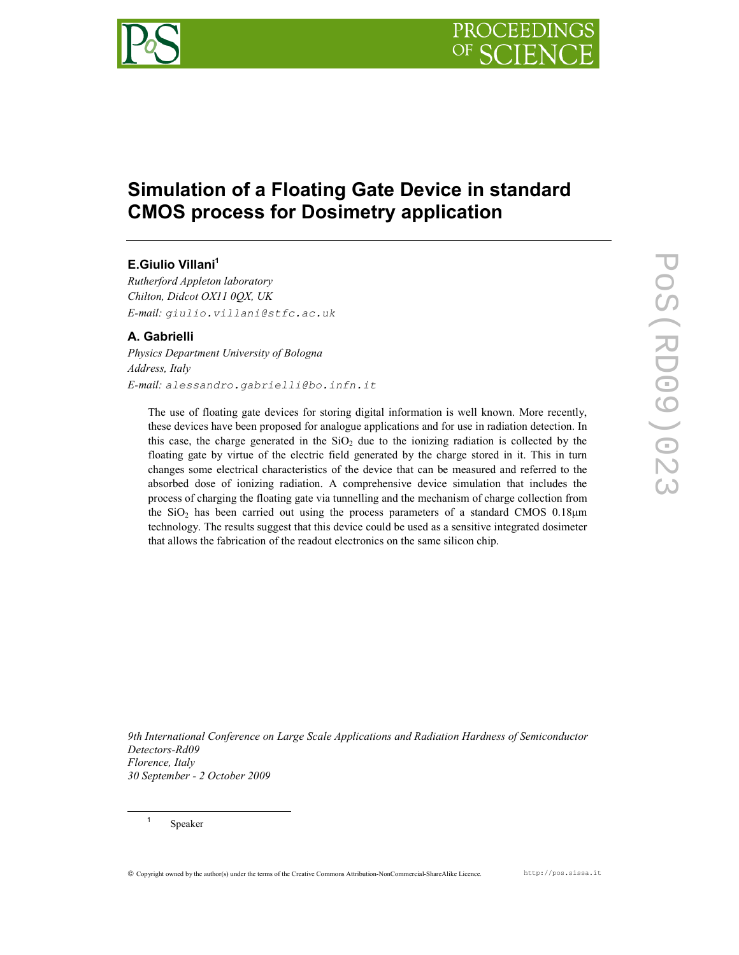

# Simulation of a Floating Gate Device in standard CMOS process for Dosimetry application

# E.Giulio Villani<sup>1</sup>

Rutherford Appleton laboratory Chilton, Didcot OX11 0QX, UK E-mail: giulio.villani@stfc.ac.uk

# A. Gabrielli

Physics Department University of Bologna Address, Italy E-mail: alessandro.gabrielli@bo.infn.it

The use of floating gate devices for storing digital information is well known. More recently, these devices have been proposed for analogue applications and for use in radiation detection. In this case, the charge generated in the  $SiO<sub>2</sub>$  due to the ionizing radiation is collected by the floating gate by virtue of the electric field generated by the charge stored in it. This in turn changes some electrical characteristics of the device that can be measured and referred to the absorbed dose of ionizing radiation. A comprehensive device simulation that includes the process of charging the floating gate via tunnelling and the mechanism of charge collection from the  $SiO<sub>2</sub>$  has been carried out using the process parameters of a standard CMOS 0.18 $\mu$ m technology. The results suggest that this device could be used as a sensitive integrated dosimeter that allows the fabrication of the readout electronics on the same silicon chip.

9th International Conference on Large Scale Applications and Radiation Hardness of Semiconductor Detectors-Rd09 Florence, Italy 30 September - 2 October 2009

Speaker

 $\ddot{\phantom{a}}$ 1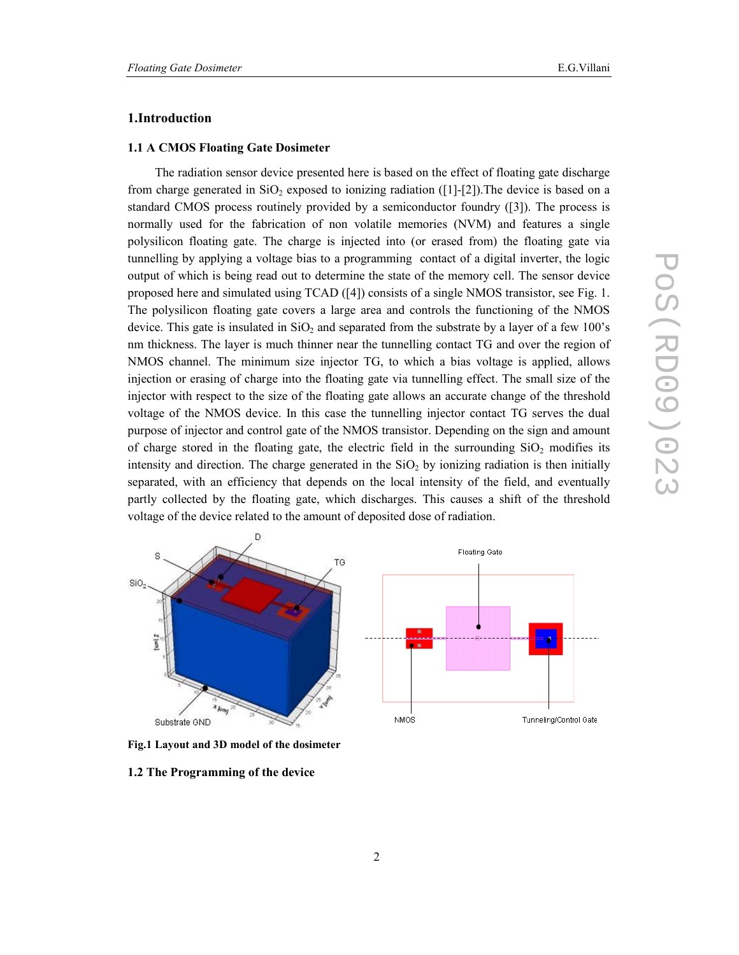# 1.Introduction

#### 1.1 A CMOS Floating Gate Dosimeter

The radiation sensor device presented here is based on the effect of floating gate discharge from charge generated in  $SiO_2$  exposed to ionizing radiation ([1]-[2]). The device is based on a standard CMOS process routinely provided by a semiconductor foundry ([3]). The process is normally used for the fabrication of non volatile memories (NVM) and features a single polysilicon floating gate. The charge is injected into (or erased from) the floating gate via tunnelling by applying a voltage bias to a programming contact of a digital inverter, the logic output of which is being read out to determine the state of the memory cell. The sensor device proposed here and simulated using TCAD ([4]) consists of a single NMOS transistor, see Fig. 1. The polysilicon floating gate covers a large area and controls the functioning of the NMOS device. This gate is insulated in  $SiO<sub>2</sub>$  and separated from the substrate by a layer of a few 100's nm thickness. The layer is much thinner near the tunnelling contact TG and over the region of NMOS channel. The minimum size injector TG, to which a bias voltage is applied, allows injection or erasing of charge into the floating gate via tunnelling effect. The small size of the injector with respect to the size of the floating gate allows an accurate change of the threshold voltage of the NMOS device. In this case the tunnelling injector contact TG serves the dual purpose of injector and control gate of the NMOS transistor. Depending on the sign and amount of charge stored in the floating gate, the electric field in the surrounding  $SiO<sub>2</sub>$  modifies its intensity and direction. The charge generated in the  $SiO<sub>2</sub>$  by ionizing radiation is then initially separated, with an efficiency that depends on the local intensity of the field, and eventually partly collected by the floating gate, which discharges. This causes a shift of the threshold voltage of the device related to the amount of deposited dose of radiation.



Fig.1 Layout and 3D model of the dosimeter

1.2 The Programming of the device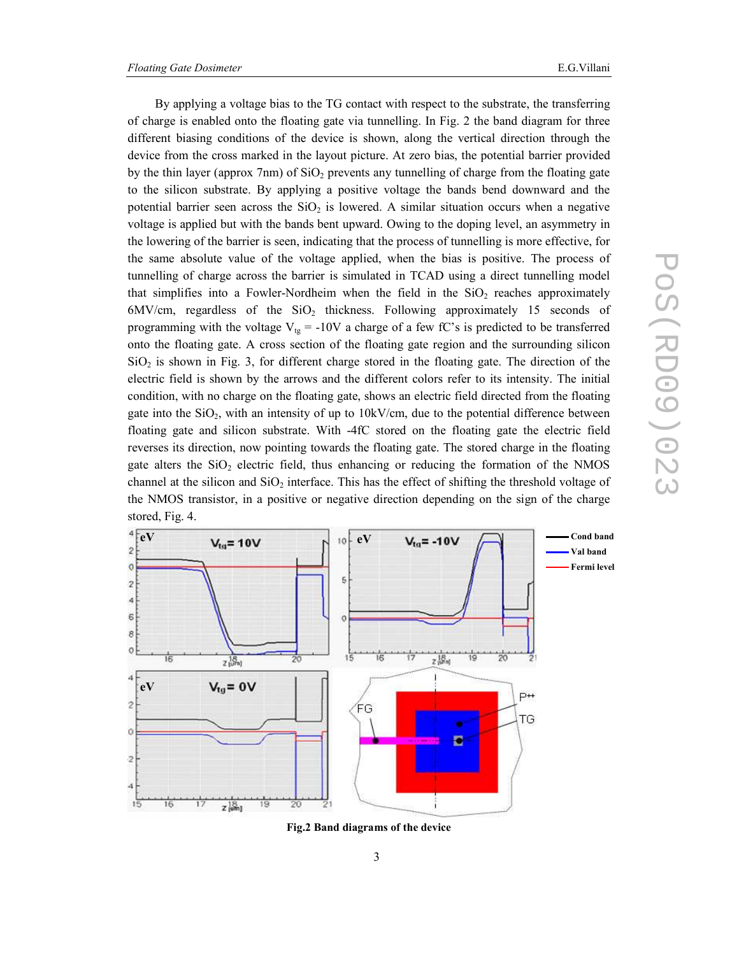By applying a voltage bias to the TG contact with respect to the substrate, the transferring of charge is enabled onto the floating gate via tunnelling. In Fig. 2 the band diagram for three different biasing conditions of the device is shown, along the vertical direction through the device from the cross marked in the layout picture. At zero bias, the potential barrier provided by the thin layer (approx 7nm) of  $SiO<sub>2</sub>$  prevents any tunnelling of charge from the floating gate to the silicon substrate. By applying a positive voltage the bands bend downward and the potential barrier seen across the  $SiO<sub>2</sub>$  is lowered. A similar situation occurs when a negative voltage is applied but with the bands bent upward. Owing to the doping level, an asymmetry in the lowering of the barrier is seen, indicating that the process of tunnelling is more effective, for the same absolute value of the voltage applied, when the bias is positive. The process of tunnelling of charge across the barrier is simulated in TCAD using a direct tunnelling model that simplifies into a Fowler-Nordheim when the field in the  $SiO<sub>2</sub>$  reaches approximately  $6MV/cm$ , regardless of the  $SiO<sub>2</sub>$  thickness. Following approximately 15 seconds of programming with the voltage  $V_{tg} = -10V$  a charge of a few fC's is predicted to be transferred onto the floating gate. A cross section of the floating gate region and the surrounding silicon  $SiO<sub>2</sub>$  is shown in Fig. 3, for different charge stored in the floating gate. The direction of the electric field is shown by the arrows and the different colors refer to its intensity. The initial condition, with no charge on the floating gate, shows an electric field directed from the floating gate into the  $SiO<sub>2</sub>$ , with an intensity of up to  $10kV/cm$ , due to the potential difference between floating gate and silicon substrate. With -4fC stored on the floating gate the electric field reverses its direction, now pointing towards the floating gate. The stored charge in the floating gate alters the  $SiO<sub>2</sub>$  electric field, thus enhancing or reducing the formation of the NMOS channel at the silicon and  $SiO<sub>2</sub>$  interface. This has the effect of shifting the threshold voltage of the NMOS transistor, in a positive or negative direction depending on the sign of the charge stored, Fig. 4.



Fig.2 Band diagrams of the device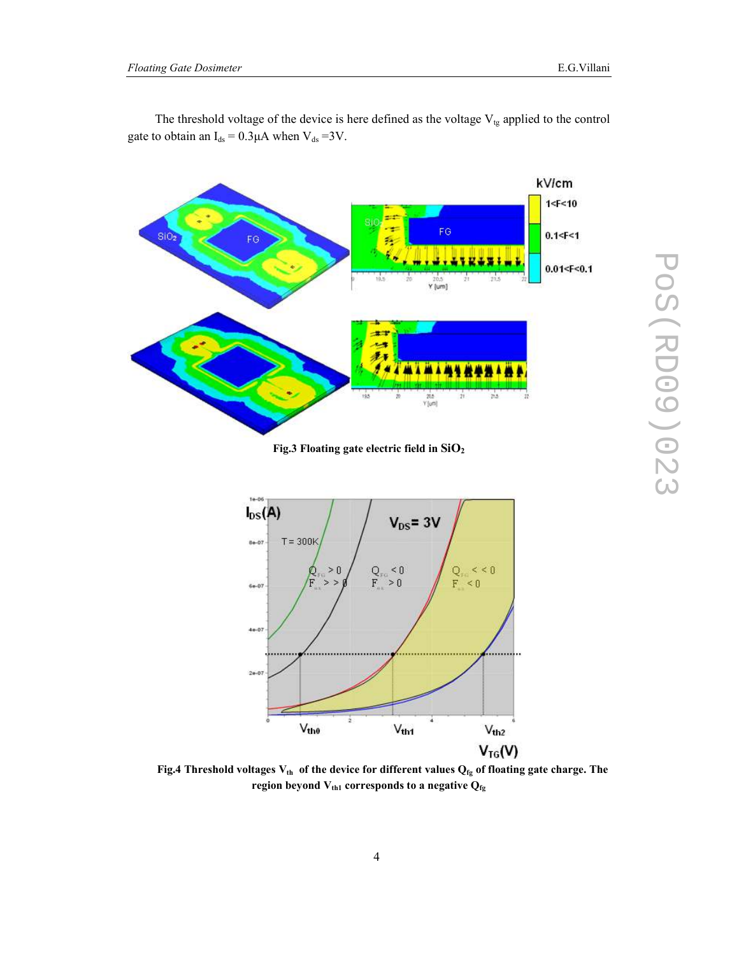



Fig.3 Floating gate electric field in  $SiO<sub>2</sub>$ 



Fig.4 Threshold voltages  $V_{th}$  of the device for different values  $Q_{fg}$  of floating gate charge. The region beyond  $\rm V_{th1}$  corresponds to a negative  $\rm Q_{fg}$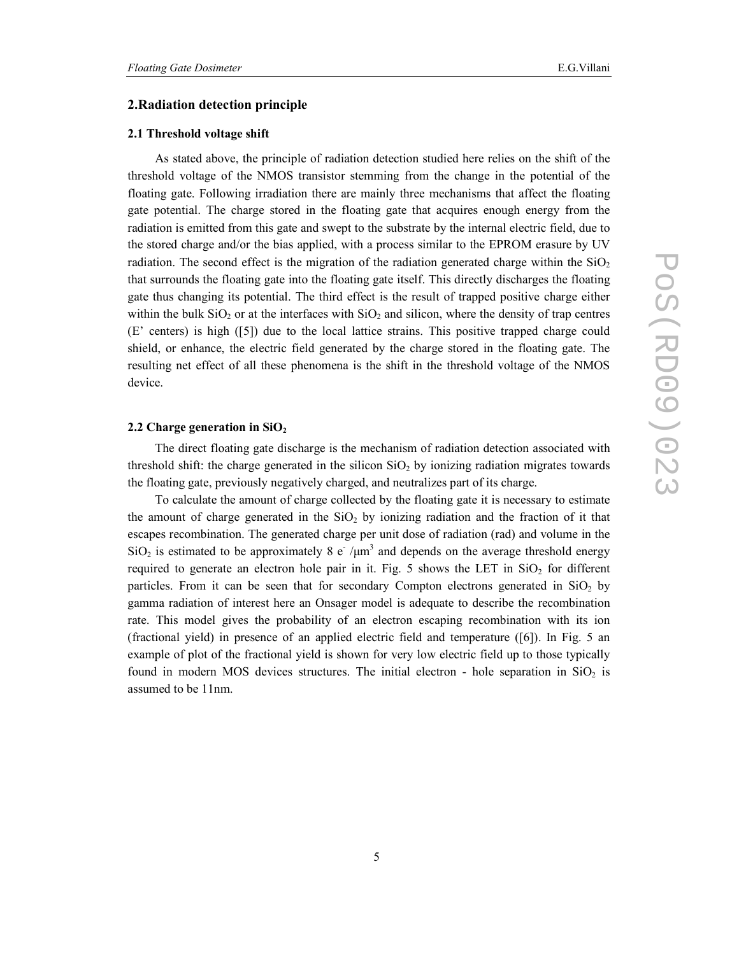## 2.Radiation detection principle

#### 2.1 Threshold voltage shift

As stated above, the principle of radiation detection studied here relies on the shift of the threshold voltage of the NMOS transistor stemming from the change in the potential of the floating gate. Following irradiation there are mainly three mechanisms that affect the floating gate potential. The charge stored in the floating gate that acquires enough energy from the radiation is emitted from this gate and swept to the substrate by the internal electric field, due to the stored charge and/or the bias applied, with a process similar to the EPROM erasure by UV radiation. The second effect is the migration of the radiation generated charge within the  $SiO<sub>2</sub>$ that surrounds the floating gate into the floating gate itself. This directly discharges the floating gate thus changing its potential. The third effect is the result of trapped positive charge either within the bulk  $SiO<sub>2</sub>$  or at the interfaces with  $SiO<sub>2</sub>$  and silicon, where the density of trap centres (E' centers) is high ([5]) due to the local lattice strains. This positive trapped charge could shield, or enhance, the electric field generated by the charge stored in the floating gate. The resulting net effect of all these phenomena is the shift in the threshold voltage of the NMOS device.

#### 2.2 Charge generation in  $SiO<sub>2</sub>$

The direct floating gate discharge is the mechanism of radiation detection associated with threshold shift: the charge generated in the silicon  $SiO<sub>2</sub>$  by ionizing radiation migrates towards the floating gate, previously negatively charged, and neutralizes part of its charge.

To calculate the amount of charge collected by the floating gate it is necessary to estimate the amount of charge generated in the  $SiO<sub>2</sub>$  by ionizing radiation and the fraction of it that escapes recombination. The generated charge per unit dose of radiation (rad) and volume in the SiO<sub>2</sub> is estimated to be approximately 8 e<sup>-</sup>/ $\mu$ m<sup>3</sup> and depends on the average threshold energy required to generate an electron hole pair in it. Fig. 5 shows the LET in  $SiO<sub>2</sub>$  for different particles. From it can be seen that for secondary Compton electrons generated in  $SiO<sub>2</sub>$  by gamma radiation of interest here an Onsager model is adequate to describe the recombination rate. This model gives the probability of an electron escaping recombination with its ion (fractional yield) in presence of an applied electric field and temperature ([6]). In Fig. 5 an example of plot of the fractional yield is shown for very low electric field up to those typically found in modern MOS devices structures. The initial electron - hole separation in  $SiO<sub>2</sub>$  is assumed to be 11nm.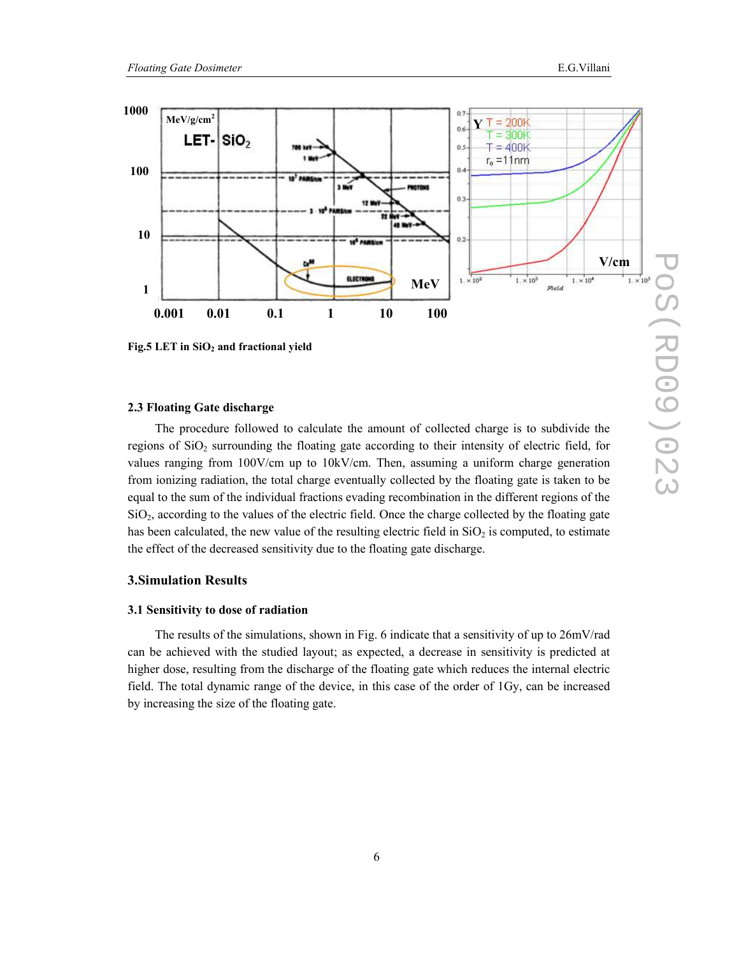

Fig.5 LET in SiO<sub>2</sub> and fractional yield

#### 2.3 Floating Gate discharge

The procedure followed to calculate the amount of collected charge is to subdivide the regions of  $SiO<sub>2</sub>$  surrounding the floating gate according to their intensity of electric field, for values ranging from 100V/cm up to 10kV/cm. Then, assuming a uniform charge generation from ionizing radiation, the total charge eventually collected by the floating gate is taken to be equal to the sum of the individual fractions evading recombination in the different regions of the  $SiO<sub>2</sub>$ , according to the values of the electric field. Once the charge collected by the floating gate has been calculated, the new value of the resulting electric field in  $SiO<sub>2</sub>$  is computed, to estimate the effect of the decreased sensitivity due to the floating gate discharge.

### 3.Simulation Results

#### 3.1 Sensitivity to dose of radiation

The results of the simulations, shown in Fig. 6 indicate that a sensitivity of up to 26mV/rad can be achieved with the studied layout; as expected, a decrease in sensitivity is predicted at higher dose, resulting from the discharge of the floating gate which reduces the internal electric field. The total dynamic range of the device, in this case of the order of 1Gy, can be increased by increasing the size of the floating gate.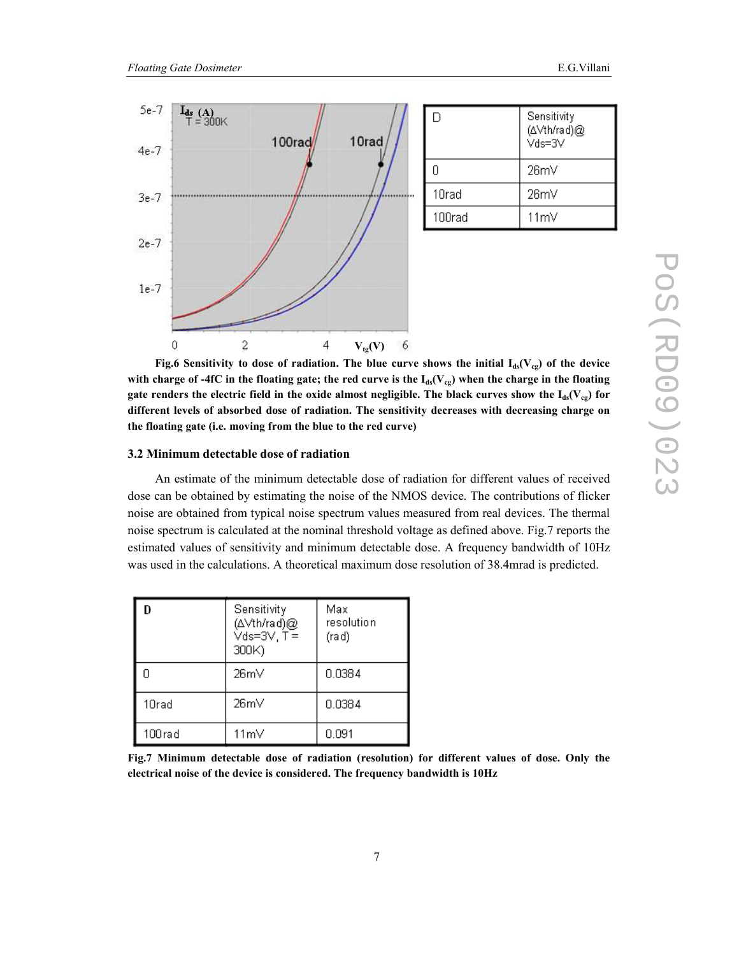

Fig.6 Sensitivity to dose of radiation. The blue curve shows the initial  $I_{ds}(V_{cg})$  of the device with charge of -4fC in the floating gate; the red curve is the  $I_{ds}(V_{cg})$  when the charge in the floating gate renders the electric field in the oxide almost negligible. The black curves show the  $I_{ds}(V_{cg})$  for different levels of absorbed dose of radiation. The sensitivity decreases with decreasing charge on the floating gate (i.e. moving from the blue to the red curve)

#### 3.2 Minimum detectable dose of radiation

An estimate of the minimum detectable dose of radiation for different values of received dose can be obtained by estimating the noise of the NMOS device. The contributions of flicker noise are obtained from typical noise spectrum values measured from real devices. The thermal noise spectrum is calculated at the nominal threshold voltage as defined above. Fig.7 reports the estimated values of sensitivity and minimum detectable dose. A frequency bandwidth of 10Hz was used in the calculations. A theoretical maximum dose resolution of 38.4mrad is predicted.

| D      | Sensitivity<br>(∆Vth/rad)@<br>Vds=3V, T =<br>300K) | Max<br>resolution<br>(rad) |
|--------|----------------------------------------------------|----------------------------|
| Ω      | 26mV                                               | 0.0384                     |
| 10rad  | 26mV                                               | 0.0384                     |
| 100rad | 11mV                                               | 0.091                      |

Fig.7 Minimum detectable dose of radiation (resolution) for different values of dose. Only the electrical noise of the device is considered. The frequency bandwidth is 10Hz